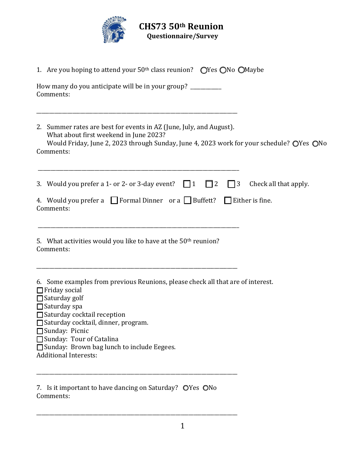

| 1. Are you hoping to attend your 50 <sup>th</sup> class reunion? OYes ONo OMaybe                                                                                                                                                                                                                                                                                        |
|-------------------------------------------------------------------------------------------------------------------------------------------------------------------------------------------------------------------------------------------------------------------------------------------------------------------------------------------------------------------------|
| How many do you anticipate will be in your group? __________<br>Comments:                                                                                                                                                                                                                                                                                               |
| 2. Summer rates are best for events in AZ (June, July, and August).<br>What about first weekend in June 2023?<br>Would Friday, June 2, 2023 through Sunday, June 4, 2023 work for your schedule? OYes ONo<br>Comments:                                                                                                                                                  |
| 3. Would you prefer a 1- or 2- or 3-day event? $\Box$ 1<br>$\Box$ 2<br>$\vert$   3<br>Check all that apply.<br>4. Would you prefer a $\Box$ Formal Dinner or a $\Box$ Buffett? $\Box$ Either is fine.<br>Comments:                                                                                                                                                      |
| 5. What activities would you like to have at the 50 <sup>th</sup> reunion?<br>Comments:                                                                                                                                                                                                                                                                                 |
| 6. Some examples from previous Reunions, please check all that are of interest.<br>$\Box$ Friday social<br>$\Box$ Saturday golf<br>$\Box$ Saturday spa<br>$\Box$ Saturday cocktail reception<br>□ Saturday cocktail, dinner, program.<br>□ Sunday: Picnic<br>□ Sunday: Tour of Catalina<br>□ Sunday: Brown bag lunch to include Eegees.<br><b>Additional Interests:</b> |
| 7. Is it important to have dancing on Saturday? OYes ONo<br>Comments:                                                                                                                                                                                                                                                                                                   |

\_\_\_\_\_\_\_\_\_\_\_\_\_\_\_\_\_\_\_\_\_\_\_\_\_\_\_\_\_\_\_\_\_\_\_\_\_\_\_\_\_\_\_\_\_\_\_\_\_\_\_\_\_\_\_\_\_\_\_\_\_\_\_\_\_\_\_\_\_\_\_\_\_\_\_\_\_\_